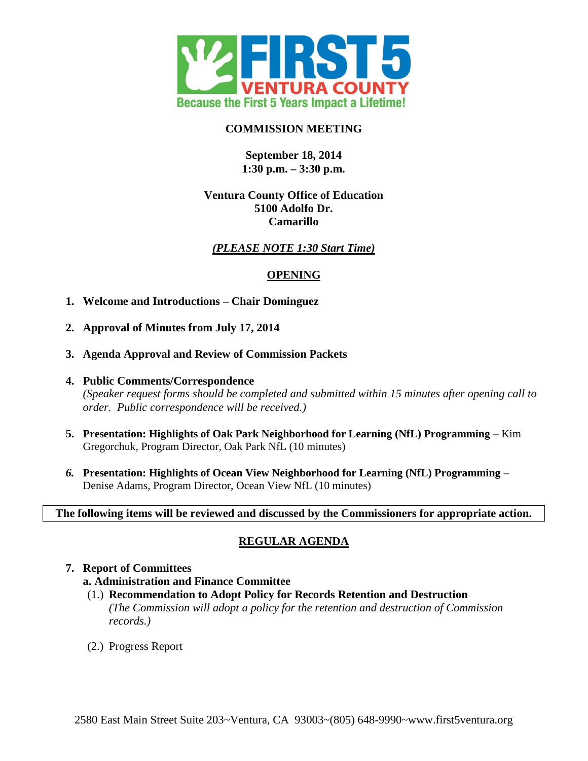

### **COMMISSION MEETING**

### **September 18, 2014 1:30 p.m. – 3:30 p.m.**

### **Ventura County Office of Education 5100 Adolfo Dr. Camarillo**

## *(PLEASE NOTE 1:30 Start Time)*

### **OPENING**

- **1. Welcome and Introductions Chair Dominguez**
- **2. Approval of Minutes from July 17, 2014**
- **3. Agenda Approval and Review of Commission Packets**
- **4. Public Comments/Correspondence** *(Speaker request forms should be completed and submitted within 15 minutes after opening call to order. Public correspondence will be received.)*
- **5. Presentation: Highlights of Oak Park Neighborhood for Learning (NfL) Programming** Kim Gregorchuk, Program Director, Oak Park NfL (10 minutes)
- *6.* **Presentation: Highlights of Ocean View Neighborhood for Learning (NfL) Programming** Denise Adams, Program Director, Ocean View NfL (10 minutes)

### **The following items will be reviewed and discussed by the Commissioners for appropriate action.**

# **REGULAR AGENDA**

# **7. Report of Committees a. Administration and Finance Committee**

- (1.) **Recommendation to Adopt Policy for Records Retention and Destruction** *(The Commission will adopt a policy for the retention and destruction of Commission records.)*
- (2.) Progress Report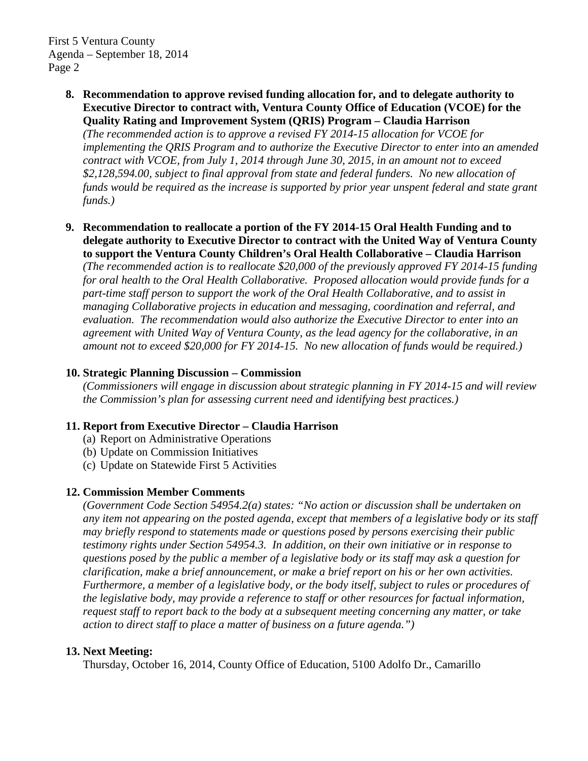First 5 Ventura County Agenda – September 18, 2014 Page 2

> **8. Recommendation to approve revised funding allocation for, and to delegate authority to Executive Director to contract with, Ventura County Office of Education (VCOE) for the Quality Rating and Improvement System (QRIS) Program – Claudia Harrison**

*(The recommended action is to approve a revised FY 2014-15 allocation for VCOE for implementing the QRIS Program and to authorize the Executive Director to enter into an amended contract with VCOE, from July 1, 2014 through June 30, 2015, in an amount not to exceed \$2,128,594.00, subject to final approval from state and federal funders. No new allocation of funds would be required as the increase is supported by prior year unspent federal and state grant funds.)*

**9. Recommendation to reallocate a portion of the FY 2014-15 Oral Health Funding and to delegate authority to Executive Director to contract with the United Way of Ventura County to support the Ventura County Children's Oral Health Collaborative – Claudia Harrison**

*(The recommended action is to reallocate \$20,000 of the previously approved FY 2014-15 funding for oral health to the Oral Health Collaborative. Proposed allocation would provide funds for a part-time staff person to support the work of the Oral Health Collaborative, and to assist in managing Collaborative projects in education and messaging, coordination and referral, and evaluation. The recommendation would also authorize the Executive Director to enter into an agreement with United Way of Ventura County, as the lead agency for the collaborative, in an amount not to exceed \$20,000 for FY 2014-15. No new allocation of funds would be required.)*

#### **10. Strategic Planning Discussion – Commission**

*(Commissioners will engage in discussion about strategic planning in FY 2014-15 and will review the Commission's plan for assessing current need and identifying best practices.)*

### **11. Report from Executive Director – Claudia Harrison**

- (a) Report on Administrative Operations
- (b) Update on Commission Initiatives
- (c) Update on Statewide First 5 Activities

### **12. Commission Member Comments**

*(Government Code Section 54954.2(a) states: "No action or discussion shall be undertaken on any item not appearing on the posted agenda, except that members of a legislative body or its staff may briefly respond to statements made or questions posed by persons exercising their public testimony rights under Section 54954.3. In addition, on their own initiative or in response to questions posed by the public a member of a legislative body or its staff may ask a question for clarification, make a brief announcement, or make a brief report on his or her own activities. Furthermore, a member of a legislative body, or the body itself, subject to rules or procedures of the legislative body, may provide a reference to staff or other resources for factual information, request staff to report back to the body at a subsequent meeting concerning any matter, or take action to direct staff to place a matter of business on a future agenda.")*

### **13. Next Meeting:**

Thursday, October 16, 2014, County Office of Education, 5100 Adolfo Dr., Camarillo